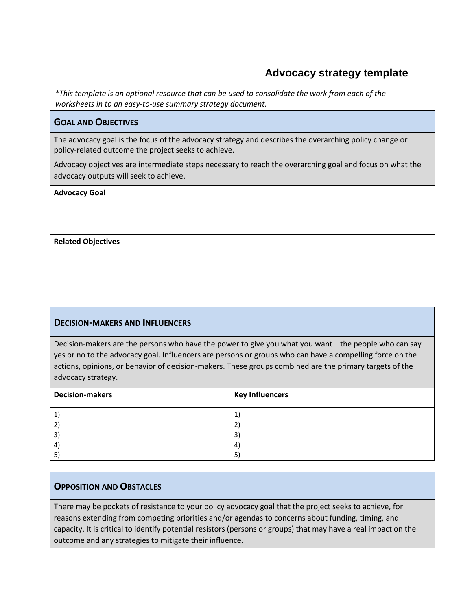# **Advocacy strategy template**

*\*This template is an optional resource that can be used to consolidate the work from each of the worksheets in to an easy-to-use summary strategy document.* 

### **GOAL AND OBJECTIVES**

The advocacy goal is the focus of the advocacy strategy and describes the overarching policy change or policy-related outcome the project seeks to achieve.

Advocacy objectives are intermediate steps necessary to reach the overarching goal and focus on what the advocacy outputs will seek to achieve.

#### **Advocacy Goal**

**Related Objectives** 

#### **DECISION-MAKERS AND INFLUENCERS**

Decision-makers are the persons who have the power to give you what you want—the people who can say yes or no to the advocacy goal. Influencers are persons or groups who can have a compelling force on the actions, opinions, or behavior of decision-makers. These groups combined are the primary targets of the advocacy strategy.

| <b>Decision-makers</b> | <b>Key Influencers</b> |
|------------------------|------------------------|
| $ 1\rangle$            | 1)                     |
| 2)                     | 2)                     |
| $\mathsf{3}$           | 3)                     |
| $\left( 4\right)$      | 4)                     |
| 5)                     | 5)                     |

#### **OPPOSITION AND OBSTACLES**

There may be pockets of resistance to your policy advocacy goal that the project seeks to achieve, for reasons extending from competing priorities and/or agendas to concerns about funding, timing, and capacity. It is critical to identify potential resistors (persons or groups) that may have a real impact on the outcome and any strategies to mitigate their influence.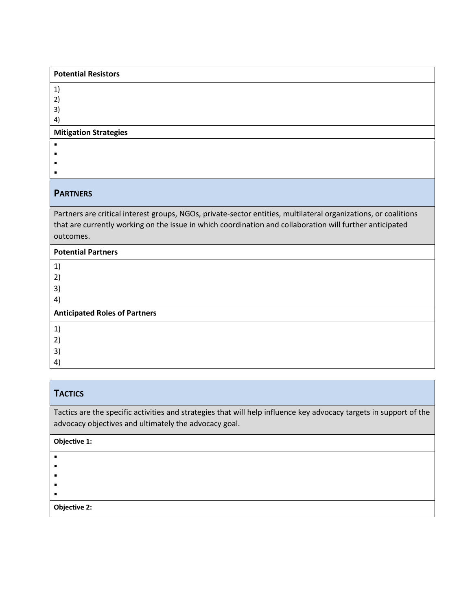| <b>Potential Resistors</b>                                                                                                                                                                                                               |
|------------------------------------------------------------------------------------------------------------------------------------------------------------------------------------------------------------------------------------------|
| 1)                                                                                                                                                                                                                                       |
| 2)                                                                                                                                                                                                                                       |
| 3)                                                                                                                                                                                                                                       |
| 4)                                                                                                                                                                                                                                       |
| <b>Mitigation Strategies</b>                                                                                                                                                                                                             |
|                                                                                                                                                                                                                                          |
|                                                                                                                                                                                                                                          |
|                                                                                                                                                                                                                                          |
|                                                                                                                                                                                                                                          |
| <b>PARTNERS</b>                                                                                                                                                                                                                          |
| Partners are critical interest groups, NGOs, private-sector entities, multilateral organizations, or coalitions<br>that are currently working on the issue in which coordination and collaboration will further anticipated<br>outcomes. |
| <b>Potential Partners</b>                                                                                                                                                                                                                |
| 1)                                                                                                                                                                                                                                       |
| 2)                                                                                                                                                                                                                                       |
| 3)                                                                                                                                                                                                                                       |
| 4)                                                                                                                                                                                                                                       |
| <b>Anticipated Roles of Partners</b>                                                                                                                                                                                                     |
| 1)                                                                                                                                                                                                                                       |
| 2)                                                                                                                                                                                                                                       |
| 3)                                                                                                                                                                                                                                       |
| 4)                                                                                                                                                                                                                                       |

## **TACTICS**

Tactics are the specific activities and strategies that will help influence key advocacy targets in support of the advocacy objectives and ultimately the advocacy goal.

### **Objective 1:**

 $\blacksquare$ 

 $\blacksquare$ 

 $\blacksquare$ 

 $\blacksquare$  $\blacksquare$ 

**Objective 2:**